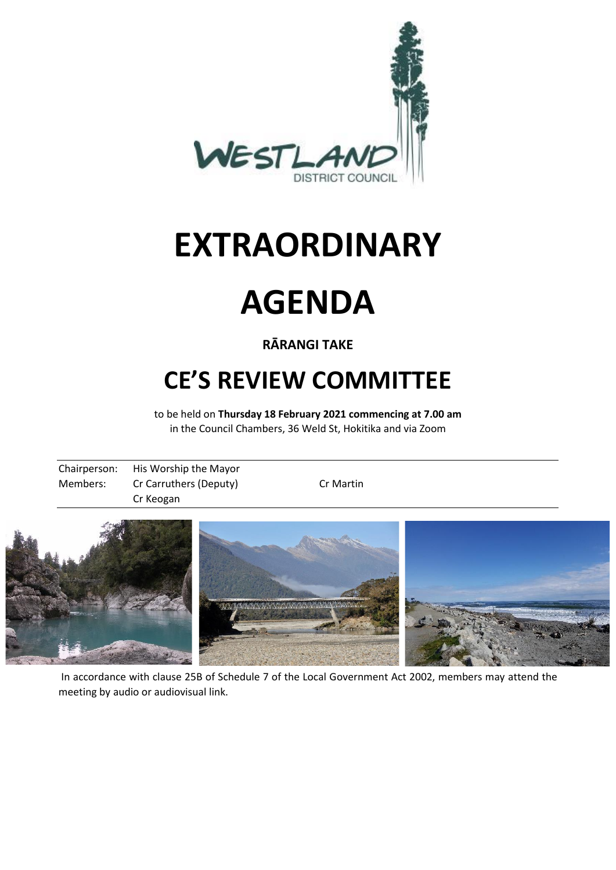

# **EXTRAORDINARY**



## **RĀRANGI TAKE**

# **CE'S REVIEW COMMITTEE**

to be held on **Thursday 18 February 2021 commencing at 7.00 am** in the Council Chambers, 36 Weld St, Hokitika and via Zoom

|          | Chairperson: His Worship the Mayor |           |  |
|----------|------------------------------------|-----------|--|
| Members: | Cr Carruthers (Deputy)             | Cr Martin |  |
|          | Cr Keogan                          |           |  |



In accordance with clause 25B of Schedule 7 of the Local Government Act 2002, members may attend the meeting by audio or audiovisual link.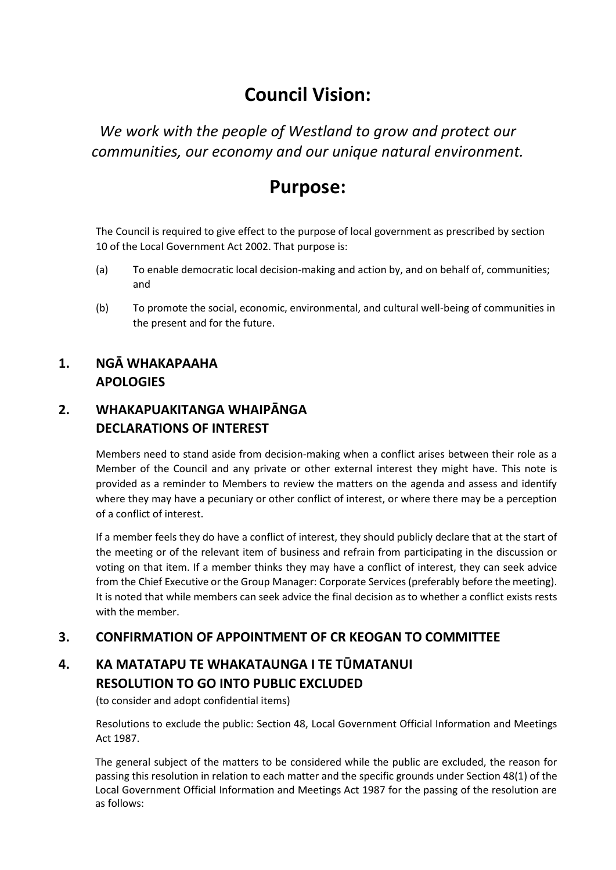# **Council Vision:**

*We work with the people of Westland to grow and protect our communities, our economy and our unique natural environment.*

# **Purpose:**

The Council is required to give effect to the purpose of local government as prescribed by section 10 of the Local Government Act 2002. That purpose is:

- (a) To enable democratic local decision-making and action by, and on behalf of, communities; and
- (b) To promote the social, economic, environmental, and cultural well-being of communities in the present and for the future.

#### **1. NGĀ WHAKAPAAHA APOLOGIES**

#### **2. WHAKAPUAKITANGA WHAIPĀNGA DECLARATIONS OF INTEREST**

Members need to stand aside from decision-making when a conflict arises between their role as a Member of the Council and any private or other external interest they might have. This note is provided as a reminder to Members to review the matters on the agenda and assess and identify where they may have a pecuniary or other conflict of interest, or where there may be a perception of a conflict of interest.

If a member feels they do have a conflict of interest, they should publicly declare that at the start of the meeting or of the relevant item of business and refrain from participating in the discussion or voting on that item. If a member thinks they may have a conflict of interest, they can seek advice from the Chief Executive or the Group Manager: Corporate Services (preferably before the meeting). It is noted that while members can seek advice the final decision as to whether a conflict exists rests with the member.

#### **3. CONFIRMATION OF APPOINTMENT OF CR KEOGAN TO COMMITTEE**

### **4. KA MATATAPU TE WHAKATAUNGA I TE TŪMATANUI RESOLUTION TO GO INTO PUBLIC EXCLUDED**

(to consider and adopt confidential items)

Resolutions to exclude the public: Section 48, Local Government Official Information and Meetings Act 1987.

The general subject of the matters to be considered while the public are excluded, the reason for passing this resolution in relation to each matter and the specific grounds under Section 48(1) of the Local Government Official Information and Meetings Act 1987 for the passing of the resolution are as follows: